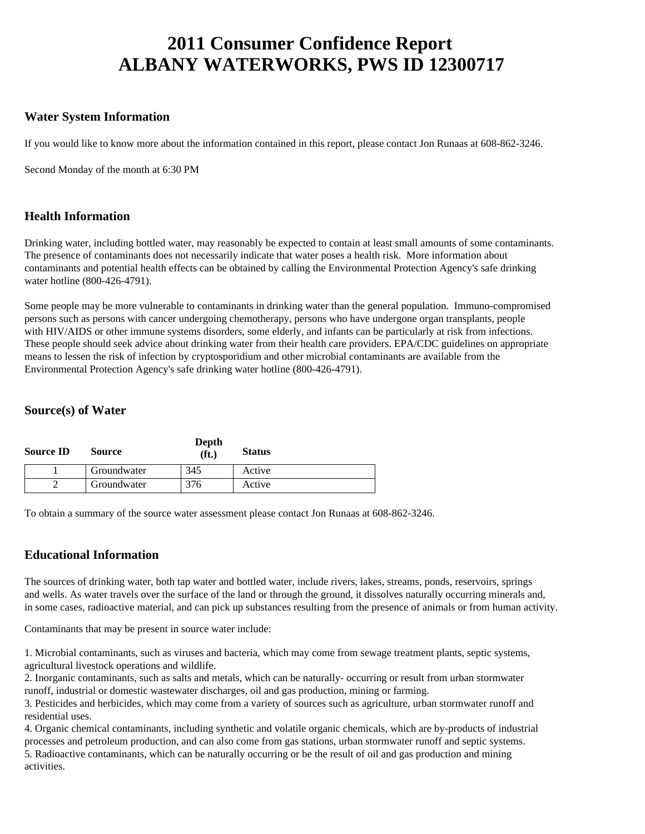# **2011 Consumer Confidence Report ALBANY WATERWORKS, PWS ID 12300717**

## **Water System Information**

If you would like to know more about the information contained in this report, please contact Jon Runaas at 608-862-3246.

Second Monday of the month at 6:30 PM

## **Health Information**

Drinking water, including bottled water, may reasonably be expected to contain at least small amounts of some contaminants. The presence of contaminants does not necessarily indicate that water poses a health risk. More information about contaminants and potential health effects can be obtained by calling the Environmental Protection Agency's safe drinking water hotline (800-426-4791).

Some people may be more vulnerable to contaminants in drinking water than the general population. Immuno-compromised persons such as persons with cancer undergoing chemotherapy, persons who have undergone organ transplants, people with HIV/AIDS or other immune systems disorders, some elderly, and infants can be particularly at risk from infections. These people should seek advice about drinking water from their health care providers. EPA/CDC guidelines on appropriate means to lessen the risk of infection by cryptosporidium and other microbial contaminants are available from the Environmental Protection Agency's safe drinking water hotline (800-426-4791).

#### **Source(s) of Water**

| <b>Source ID</b> | Source      | Depth<br>(f <sub>t</sub> ) | <b>Status</b> |
|------------------|-------------|----------------------------|---------------|
|                  | Groundwater | 345                        | Active        |
|                  | Groundwater | 76                         | Active        |

To obtain a summary of the source water assessment please contact Jon Runaas at 608-862-3246.

## **Educational Information**

The sources of drinking water, both tap water and bottled water, include rivers, lakes, streams, ponds, reservoirs, springs and wells. As water travels over the surface of the land or through the ground, it dissolves naturally occurring minerals and, in some cases, radioactive material, and can pick up substances resulting from the presence of animals or from human activity.

Contaminants that may be present in source water include:

1. Microbial contaminants, such as viruses and bacteria, which may come from sewage treatment plants, septic systems, agricultural livestock operations and wildlife.

2. Inorganic contaminants, such as salts and metals, which can be naturally- occurring or result from urban stormwater runoff, industrial or domestic wastewater discharges, oil and gas production, mining or farming.

3. Pesticides and herbicides, which may come from a variety of sources such as agriculture, urban stormwater runoff and residential uses.

4. Organic chemical contaminants, including synthetic and volatile organic chemicals, which are by-products of industrial processes and petroleum production, and can also come from gas stations, urban stormwater runoff and septic systems. 5. Radioactive contaminants, which can be naturally occurring or be the result of oil and gas production and mining activities.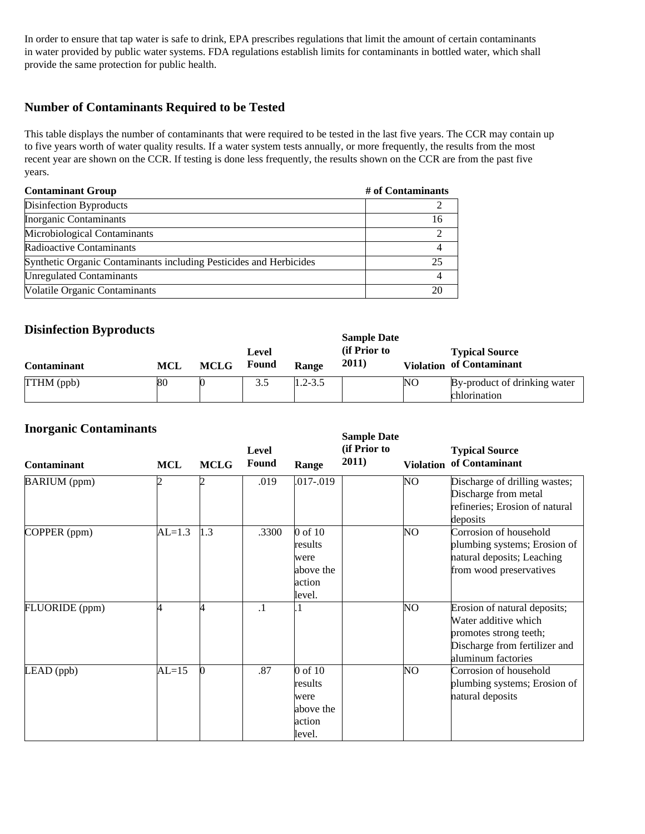In order to ensure that tap water is safe to drink, EPA prescribes regulations that limit the amount of certain contaminants in water provided by public water systems. FDA regulations establish limits for contaminants in bottled water, which shall provide the same protection for public health.

## **Number of Contaminants Required to be Tested**

This table displays the number of contaminants that were required to be tested in the last five years. The CCR may contain up to five years worth of water quality results. If a water system tests annually, or more frequently, the results from the most recent year are shown on the CCR. If testing is done less frequently, the results shown on the CCR are from the past five years.

| <b>Contaminant Group</b>                                           | # of Contaminants |
|--------------------------------------------------------------------|-------------------|
| Disinfection Byproducts                                            |                   |
| Inorganic Contaminants                                             |                   |
| Microbiological Contaminants                                       |                   |
| Radioactive Contaminants                                           |                   |
| Synthetic Organic Contaminants including Pesticides and Herbicides | 25                |
| <b>Unregulated Contaminants</b>                                    |                   |
| Volatile Organic Contaminants                                      |                   |

## **Disinfection Byproducts**

| <b>Contaminant</b> | MCL | <b>MCLG</b> | Level<br>Found | <b>Range</b> | Sample Date<br>(if Prior to<br><b>2011</b> ) |    | <b>Typical Source</b><br><b>Violation of Contaminant</b> |
|--------------------|-----|-------------|----------------|--------------|----------------------------------------------|----|----------------------------------------------------------|
| TTHM (ppb)         | 80  |             | 3.5            | $1.2 - 3.5$  |                                              | NO | By-product of drinking water<br>chlorination             |

**Sample Date** 

#### **Inorganic Contaminants**

| THUI gaine Contammants<br><b>Contaminant</b> | <b>MCL</b> | <b>MCLG</b>   | Level<br>Found | Range                                                           | <b>Sample Date</b><br>(if Prior to<br>2011) | <b>Violation</b> | <b>Typical Source</b><br>of Contaminant                                                                                               |
|----------------------------------------------|------------|---------------|----------------|-----------------------------------------------------------------|---------------------------------------------|------------------|---------------------------------------------------------------------------------------------------------------------------------------|
| <b>BARIUM</b> (ppm)                          | n          |               | .019           | .017-.019                                                       |                                             | NO               | Discharge of drilling wastes;<br>Discharge from metal<br>refineries; Erosion of natural<br>deposits                                   |
| COPPER (ppm)                                 | $AL=1.3$   | $ 1.3\rangle$ | .3300          | 0 of 10<br>results<br>were<br>above the<br>action<br>level.     |                                             | NO               | Corrosion of household<br>plumbing systems; Erosion of<br>natural deposits; Leaching<br>from wood preservatives                       |
| FLUORIDE (ppm)                               | И          |               | $\cdot$ 1      |                                                                 |                                             | NO               | Erosion of natural deposits;<br>Water additive which<br>promotes strong teeth;<br>Discharge from fertilizer and<br>aluminum factories |
| $LEAD$ (ppb)                                 | $AL=15$    |               | .87            | $0$ of $10$<br>results<br>were<br>above the<br>action<br>level. |                                             | NO               | Corrosion of household<br>plumbing systems; Erosion of<br>natural deposits                                                            |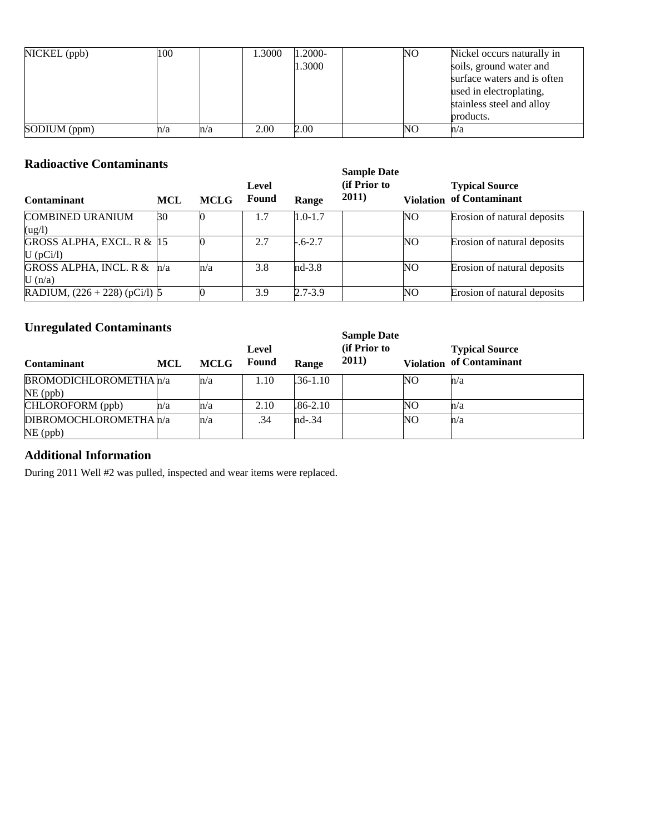| $NICKEL$ (ppb) | 100 |     | 1.3000 | 1.2000- | NO. | Nickel occurs naturally in  |
|----------------|-----|-----|--------|---------|-----|-----------------------------|
|                |     |     |        | 1.3000  |     | soils, ground water and     |
|                |     |     |        |         |     | surface waters and is often |
|                |     |     |        |         |     | used in electroplating,     |
|                |     |     |        |         |     | stainless steel and alloy   |
|                |     |     |        |         |     | products.                   |
| SODIUM (ppm)   | n/a | n/a | 2.00   | 2.00    | NO  | n/a                         |

# **Radioactive Contaminants**

| Radioactive Contaminants          |              | <b>Sample Date</b> |                       |             |                               |     |                                                          |
|-----------------------------------|--------------|--------------------|-----------------------|-------------|-------------------------------|-----|----------------------------------------------------------|
| <b>Contaminant</b>                | <b>MCL</b>   | <b>MCLG</b>        | Level<br><b>Found</b> | Range       | (if Prior to<br><b>2011</b> ) |     | <b>Typical Source</b><br><b>Violation of Contaminant</b> |
| <b>COMBINED URANIUM</b>           | $ 30\rangle$ |                    | 1.7                   | $1.0 - 1.7$ |                               | NO. | Erosion of natural deposits                              |
| (ug/l)                            |              |                    |                       |             |                               |     |                                                          |
| GROSS ALPHA, EXCL. R $&$ 15       |              |                    | 2.7                   | $-.6-2.7$   |                               | NΟ  | Erosion of natural deposits                              |
| $U$ (pCi/l)                       |              |                    |                       |             |                               |     |                                                          |
| <b>GROSS ALPHA, INCL. R &amp;</b> | n/a          | $\ln/a$            | 3.8                   | $nd-3.8$    |                               | NO  | Erosion of natural deposits                              |
| U(n/a)                            |              |                    |                       |             |                               |     |                                                          |
| RADIUM, $(226 + 228)$ (pCi/l) 5   |              |                    | 3.9                   | $2.7 - 3.9$ |                               | NO  | Erosion of natural deposits                              |

# **Unregulated Contaminants**

| Unreguiated Contaminants      |     | <b>Sample Date</b> |                       |              |                               |     |                                                          |
|-------------------------------|-----|--------------------|-----------------------|--------------|-------------------------------|-----|----------------------------------------------------------|
| <b>Contaminant</b>            | MCL | <b>MCLG</b>        | Level<br><b>Found</b> | Range        | (if Prior to<br><b>2011</b> ) |     | <b>Typical Source</b><br><b>Violation of Contaminant</b> |
| <b>BROMODICHLOROMETHA</b> n/a |     | $\ln/a$            | 1.10                  | $.36 - 1.10$ |                               | NO. | n/a                                                      |
| $NE$ (ppb)                    |     |                    |                       |              |                               |     |                                                          |
| CHLOROFORM (ppb)              | n/a | $\ln/a$            | 2.10                  | $.86 - 2.10$ |                               | NΟ  | n/a                                                      |
| DIBROMOCHLOROMETHA n/a        |     | $\ln/a$            | .34                   | $nd-.34$     |                               | NΟ  | n/a                                                      |
| $NE$ (ppb)                    |     |                    |                       |              |                               |     |                                                          |

# **Additional Information**

During 2011 Well #2 was pulled, inspected and wear items were replaced.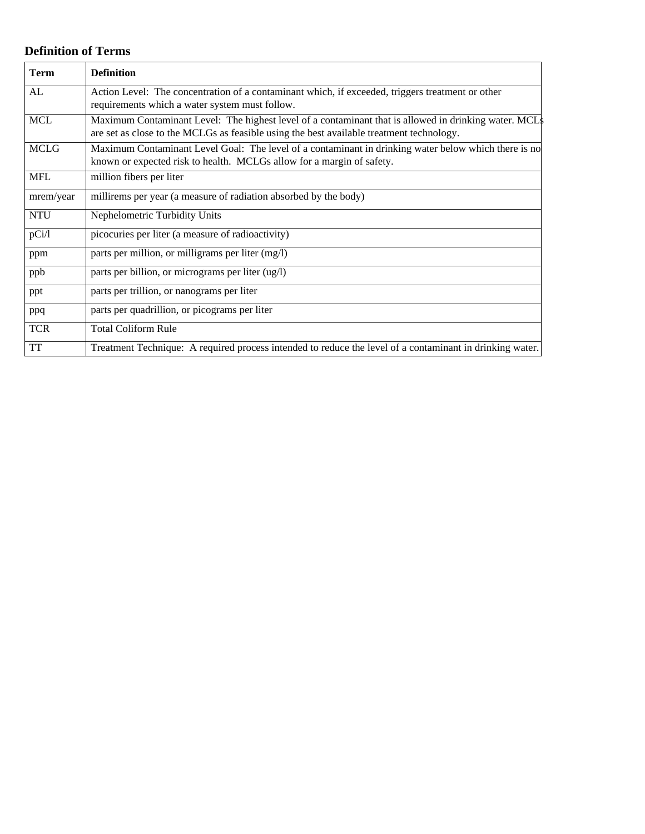# **Definition of Terms**

| <b>Term</b> | <b>Definition</b>                                                                                        |
|-------------|----------------------------------------------------------------------------------------------------------|
| AL          | Action Level: The concentration of a contaminant which, if exceeded, triggers treatment or other         |
|             | requirements which a water system must follow.                                                           |
| <b>MCL</b>  | Maximum Contaminant Level: The highest level of a contaminant that is allowed in drinking water. MCLs    |
|             | are set as close to the MCLGs as feasible using the best available treatment technology.                 |
| <b>MCLG</b> | Maximum Contaminant Level Goal: The level of a contaminant in drinking water below which there is no     |
|             | known or expected risk to health. MCLGs allow for a margin of safety.                                    |
| <b>MFL</b>  | million fibers per liter                                                                                 |
| mrem/year   | millirems per year (a measure of radiation absorbed by the body)                                         |
| <b>NTU</b>  | Nephelometric Turbidity Units                                                                            |
| pCi/1       | picocuries per liter (a measure of radioactivity)                                                        |
| ppm         | parts per million, or milligrams per liter (mg/l)                                                        |
| ppb         | parts per billion, or micrograms per liter (ug/l)                                                        |
| ppt         | parts per trillion, or nanograms per liter                                                               |
| ppq         | parts per quadrillion, or picograms per liter                                                            |
| <b>TCR</b>  | <b>Total Coliform Rule</b>                                                                               |
| <b>TT</b>   | Treatment Technique: A required process intended to reduce the level of a contaminant in drinking water. |